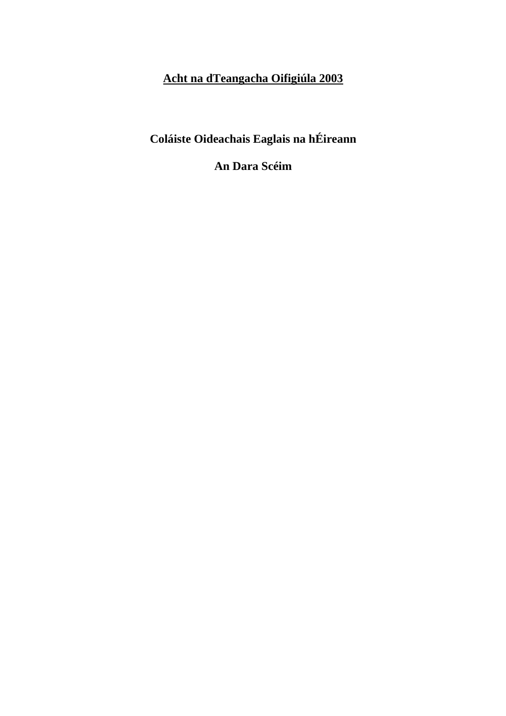# **Acht na dTeangacha Oifigiúla 2003**

**Coláiste Oideachais Eaglais na hÉireann** 

**An Dara Scéim**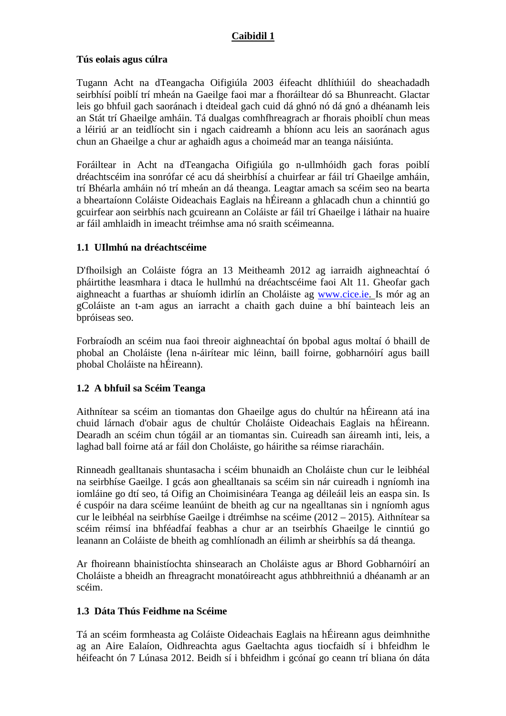### **Caibidil 1**

### **Tús eolais agus cúlra**

Tugann Acht na dTeangacha Oifigiúla 2003 éifeacht dhlíthiúil do sheachadadh seirbhísí poiblí trí mheán na Gaeilge faoi mar a fhoráiltear dó sa Bhunreacht. Glactar leis go bhfuil gach saoránach i dteideal gach cuid dá ghnó nó dá gnó a dhéanamh leis an Stát trí Ghaeilge amháin. Tá dualgas comhfhreagrach ar fhorais phoiblí chun meas a léiriú ar an teidlíocht sin i ngach caidreamh a bhíonn acu leis an saoránach agus chun an Ghaeilge a chur ar aghaidh agus a choimeád mar an teanga náisiúnta.

Foráiltear in Acht na dTeangacha Oifigiúla go n-ullmhóidh gach foras poiblí dréachtscéim ina sonrófar cé acu dá sheirbhísí a chuirfear ar fáil trí Ghaeilge amháin, trí Bhéarla amháin nó trí mheán an dá theanga. Leagtar amach sa scéim seo na bearta a bheartaíonn Coláiste Oideachais Eaglais na hÉireann a ghlacadh chun a chinntiú go gcuirfear aon seirbhís nach gcuireann an Coláiste ar fáil trí Ghaeilge i láthair na huaire ar fáil amhlaidh in imeacht tréimhse ama nó sraith scéimeanna.

# **1.1 UIlmhú na dréachtscéime**

D'fhoilsigh an Coláiste fógra an 13 Meitheamh 2012 ag iarraidh aighneachtaí ó pháirtithe leasmhara i dtaca le hullmhú na dréachtscéime faoi Alt 11. Gheofar gach aighneacht a fuarthas ar shuíomh idirlín an Choláiste ag www.cice.ie. Is mór ag an gColáiste an t-am agus an iarracht a chaith gach duine a bhí bainteach leis an bpróiseas seo.

Forbraíodh an scéim nua faoi threoir aighneachtaí ón bpobal agus moltaí ó bhaill de phobal an Choláiste (lena n-áirítear mic léinn, baill foirne, gobharnóirí agus baill phobal Choláiste na hÉireann).

### **1.2 A bhfuil sa Scéim Teanga**

Aithnítear sa scéim an tiomantas don Ghaeilge agus do chultúr na hÉireann atá ina chuid lárnach d'obair agus de chultúr Choláiste Oideachais Eaglais na hÉireann. Dearadh an scéim chun tógáil ar an tiomantas sin. Cuireadh san áireamh inti, leis, a laghad ball foirne atá ar fáil don Choláiste, go háirithe sa réimse riaracháin.

Rinneadh gealltanais shuntasacha i scéim bhunaidh an Choláiste chun cur le leibhéal na seirbhíse Gaeilge. I gcás aon ghealltanais sa scéim sin nár cuireadh i ngníomh ina iomláine go dtí seo, tá Oifig an Choimisinéara Teanga ag déileáil leis an easpa sin. Is é cuspóir na dara scéime leanúint de bheith ag cur na ngealltanas sin i ngníomh agus cur le leibhéal na seirbhíse Gaeilge i dtréimhse na scéime (2012 – 2015). Aithnítear sa scéim réimsí ina bhféadfaí feabhas a chur ar an tseirbhís Ghaeilge le cinntiú go leanann an Coláiste de bheith ag comhlíonadh an éilimh ar sheirbhís sa dá theanga.

Ar fhoireann bhainistíochta shinsearach an Choláiste agus ar Bhord Gobharnóirí an Choláiste a bheidh an fhreagracht monatóireacht agus athbhreithniú a dhéanamh ar an scéim.

#### **1.3 Dáta Thús Feidhme na Scéime**

Tá an scéim formheasta ag Coláiste Oideachais Eaglais na hÉireann agus deimhnithe ag an Aire Ealaíon, Oidhreachta agus Gaeltachta agus tiocfaidh sí i bhfeidhm le héifeacht ón 7 Lúnasa 2012. Beidh sí i bhfeidhm i gcónaí go ceann trí bliana ón dáta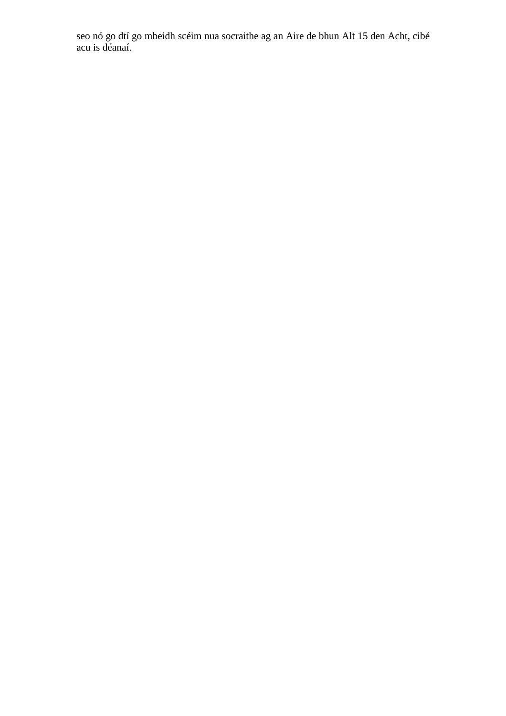seo nó go dtí go mbeidh scéim nua socraithe ag an Aire de bhun Alt 15 den Acht, cibé acu is déanaí.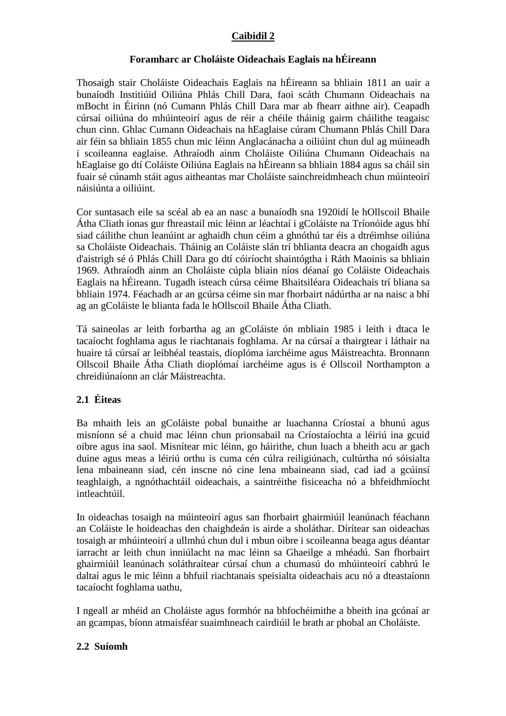### **Caibidil 2**

### **Foramharc ar Choláiste Oideachais Eaglais na hÉireann**

Thosaigh stair Choláiste Oideachais Eaglais na hÉireann sa bhliain 1811 an uair a bunaíodh Institiúid Oiliúna Phlás Chill Dara, faoi scáth Chumann Oideachais na mBocht in Éirinn (nó Cumann Phlás Chill Dara mar ab fhearr aithne air). Ceapadh cúrsaí oiliúna do mhúinteoirí agus de réir a chéile tháinig gairm cháilithe teagaisc chun cinn. Ghlac Cumann Oideachais na hEaglaise cúram Chumann Phlás Chill Dara air féin sa bhliain 1855 chun mic léinn Anglacánacha a oiliúint chun dul ag múineadh i scoileanna eaglaise. Athraíodh ainm Choláiste Oiliúna Chumann Oideachais na hEaglaise go dtí Coláiste Oiliúna Eaglais na hÉireann sa bhliain 1884 agus sa cháil sin fuair sé cúnamh stáit agus aitheantas mar Choláiste sainchreidmheach chun múinteoirí náisiúnta a oiliúint.

Cor suntasach eile sa scéal ab ea an nasc a bunaíodh sna 1920idí le hOllscoil Bhaile Átha Cliath ionas gur fhreastail mic léinn ar léachtaí i gColáiste na Tríonóide agus bhí siad cáilithe chun leanúint ar aghaidh chun céim a ghnóthú tar éis a dtréimhse oiliúna sa Choláiste Oideachais. Tháinig an Coláiste slán trí bhlianta deacra an chogaidh agus d'aistrigh sé ó Phlás Chill Dara go dtí cóiríocht shaintógtha i Ráth Maoinis sa bhliain 1969. Athraíodh ainm an Choláiste cúpla bliain níos déanaí go Coláiste Oideachais Eaglais na hÉireann. Tugadh isteach cúrsa céime Bhaitsiléara Oideachais trí bliana sa bhliain 1974. Féachadh ar an gcúrsa céime sin mar fhorbairt nádúrtha ar na naisc a bhí ag an gColáiste le blianta fada le hOllscoil Bhaile Átha Cliath.

Tá saineolas ar leith forbartha ag an gColáiste ón mbliain 1985 i leith i dtaca le tacaíocht foghlama agus le riachtanais foghlama. Ar na cúrsaí a thairgtear i láthair na huaire tá cúrsaí ar leibhéal teastais, dioplóma iarchéime agus Máistreachta. Bronnann Ollscoil Bhaile Átha Cliath dioplómaí iarchéime agus is é Ollscoil Northampton a chreidiúnaíonn an clár Máistreachta.

### **2.1 Éiteas**

Ba mhaith leis an gColáiste pobal bunaithe ar luachanna Críostaí a bhunú agus misníonn sé a chuid mac léinn chun prionsabail na Críostaíochta a léiriú ina gcuid oibre agus ina saol. Misnítear mic léinn, go háirithe, chun luach a bheith acu ar gach duine agus meas a léiriú orthu is cuma cén cúlra reiligiúnach, cultúrtha nó sóisialta lena mbaineann siad, cén inscne nó cine lena mbaineann siad, cad iad a gcúinsí teaghlaigh, a ngnóthachtáil oideachais, a saintréithe fisiceacha nó a bhfeidhmíocht intleachtúil.

In oideachas tosaigh na múinteoirí agus san fhorbairt ghairmiúil leanúnach féachann an Coláiste le hoideachas den chaighdeán is airde a sholáthar. Dírítear san oideachas tosaigh ar mhúinteoirí a ullmhú chun dul i mbun oibre i scoileanna beaga agus déantar iarracht ar leith chun inniúlacht na mac léinn sa Ghaeilge a mhéadú. San fhorbairt ghairmiúil leanúnach soláthraítear cúrsaí chun a chumasú do mhúinteoirí cabhrú le daltaí agus le mic léinn a bhfuil riachtanais speisialta oideachais acu nó a dteastaíonn tacaíocht foghlama uathu,

I ngeall ar mhéid an Choláiste agus formhór na bhfochéimithe a bheith ina gcónaí ar an gcampas, bíonn atmaisféar suaimhneach cairdiúil le brath ar phobal an Choláiste.

### **2.2 Suíomh**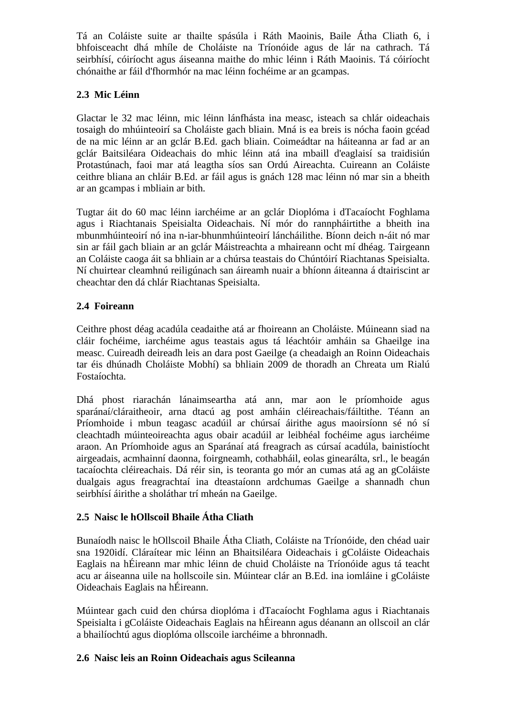Tá an Coláiste suite ar thailte spásúla i Ráth Maoinis, Baile Átha Cliath 6, i bhfoisceacht dhá mhíle de Choláiste na Tríonóide agus de lár na cathrach. Tá seirbhísí, cóiríocht agus áiseanna maithe do mhic léinn i Ráth Maoinis. Tá cóiríocht chónaithe ar fáil d'fhormhór na mac léinn fochéime ar an gcampas.

# **2.3 Mic Léinn**

Glactar le 32 mac léinn, mic léinn lánfhásta ina measc, isteach sa chlár oideachais tosaigh do mhúinteoirí sa Choláiste gach bliain. Mná is ea breis is nócha faoin gcéad de na mic léinn ar an gclár B.Ed. gach bliain. Coimeádtar na háiteanna ar fad ar an gclár Baitsiléara Oideachais do mhic léinn atá ina mbaill d'eaglaisí sa traidisiún Protastúnach, faoi mar atá leagtha síos san Ordú Aireachta. Cuireann an Coláiste ceithre bliana an chláir B.Ed. ar fáil agus is gnách 128 mac léinn nó mar sin a bheith ar an gcampas i mbliain ar bith.

Tugtar áit do 60 mac léinn iarchéime ar an gclár Dioplóma i dTacaíocht Foghlama agus i Riachtanais Speisialta Oideachais. Ní mór do rannpháirtithe a bheith ina mbunmhúinteoirí nó ina n-iar-bhunmhúinteoirí láncháilithe. Bíonn deich n-áit nó mar sin ar fáil gach bliain ar an gclár Máistreachta a mhaireann ocht mí dhéag. Tairgeann an Coláiste caoga áit sa bhliain ar a chúrsa teastais do Chúntóirí Riachtanas Speisialta. Ní chuirtear cleamhnú reiligúnach san áireamh nuair a bhíonn áiteanna á dtairiscint ar cheachtar den dá chlár Riachtanas Speisialta.

# **2.4 Foireann**

Ceithre phost déag acadúla ceadaithe atá ar fhoireann an Choláiste. Múineann siad na cláir fochéime, iarchéime agus teastais agus tá léachtóir amháin sa Ghaeilge ina measc. Cuireadh deireadh leis an dara post Gaeilge (a cheadaigh an Roinn Oideachais tar éis dhúnadh Choláiste Mobhí) sa bhliain 2009 de thoradh an Chreata um Rialú Fostaíochta.

Dhá phost riarachán lánaimseartha atá ann, mar aon le príomhoide agus sparánaí/cláraitheoir, arna dtacú ag post amháin cléireachais/fáiltithe. Téann an Príomhoide i mbun teagasc acadúil ar chúrsaí áirithe agus maoirsíonn sé nó sí cleachtadh múinteoireachta agus obair acadúil ar leibhéal fochéime agus iarchéime araon. An Príomhoide agus an Sparánaí atá freagrach as cúrsaí acadúla, bainistíocht airgeadais, acmhainní daonna, foirgneamh, cothabháil, eolas ginearálta, srl., le beagán tacaíochta cléireachais. Dá réir sin, is teoranta go mór an cumas atá ag an gColáiste dualgais agus freagrachtaí ina dteastaíonn ardchumas Gaeilge a shannadh chun seirbhísí áirithe a sholáthar trí mheán na Gaeilge.

# **2.5 Naisc le hOllscoil Bhaile Átha Cliath**

Bunaíodh naisc le hOllscoil Bhaile Átha Cliath, Coláiste na Tríonóide, den chéad uair sna 1920idí. Cláraítear mic léinn an Bhaitsiléara Oideachais i gColáiste Oideachais Eaglais na hÉireann mar mhic léinn de chuid Choláiste na Tríonóide agus tá teacht acu ar áiseanna uile na hollscoile sin. Múintear clár an B.Ed. ina iomláine i gColáiste Oideachais Eaglais na hÉireann.

Múintear gach cuid den chúrsa dioplóma i dTacaíocht Foghlama agus i Riachtanais Speisialta i gColáiste Oideachais Eaglais na hÉireann agus déanann an ollscoil an clár a bhailíochtú agus dioplóma ollscoile iarchéime a bhronnadh.

### **2.6 Naisc leis an Roinn Oideachais agus Scileanna**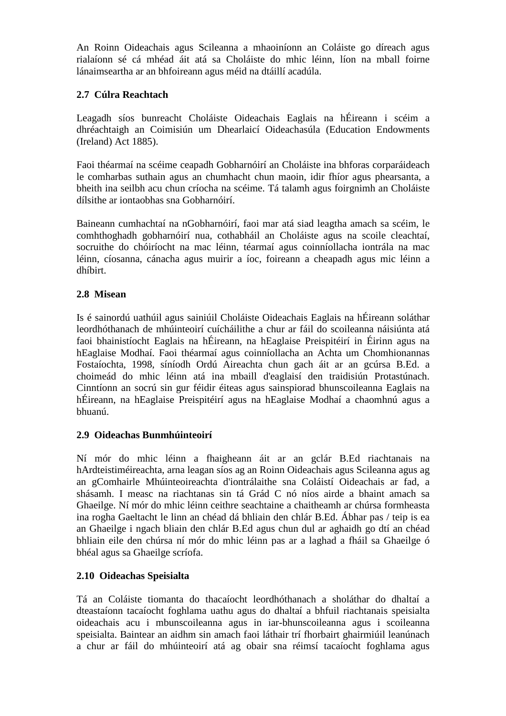An Roinn Oideachais agus Scileanna a mhaoiníonn an Coláiste go díreach agus rialaíonn sé cá mhéad áit atá sa Choláiste do mhic léinn, líon na mball foirne lánaimseartha ar an bhfoireann agus méid na dtáillí acadúla.

### **2.7 Cúlra Reachtach**

Leagadh síos bunreacht Choláiste Oideachais Eaglais na hÉireann i scéim a dhréachtaigh an Coimisiún um Dhearlaicí Oideachasúla (Education Endowments (Ireland) Act 1885).

Faoi théarmaí na scéime ceapadh Gobharnóirí an Choláiste ina bhforas corparáideach le comharbas suthain agus an chumhacht chun maoin, idir fhíor agus phearsanta, a bheith ina seilbh acu chun críocha na scéime. Tá talamh agus foirgnimh an Choláiste dílsithe ar iontaobhas sna Gobharnóirí.

Baineann cumhachtaí na nGobharnóirí, faoi mar atá siad leagtha amach sa scéim, le comhthoghadh gobharnóirí nua, cothabháil an Choláiste agus na scoile cleachtaí, socruithe do chóiríocht na mac léinn, téarmaí agus coinníollacha iontrála na mac léinn, cíosanna, cánacha agus muirir a íoc, foireann a cheapadh agus mic léinn a dhíbirt.

### **2.8 Misean**

Is é sainordú uathúil agus sainiúil Choláiste Oideachais Eaglais na hÉireann soláthar leordhóthanach de mhúinteoirí cuícháilithe a chur ar fáil do scoileanna náisiúnta atá faoi bhainistíocht Eaglais na hÉireann, na hEaglaise Preispitéirí in Éirinn agus na hEaglaise Modhaí. Faoi théarmaí agus coinníollacha an Achta um Chomhionannas Fostaíochta, 1998, síníodh Ordú Aireachta chun gach áit ar an gcúrsa B.Ed. a choimeád do mhic léinn atá ina mbaill d'eaglaisí den traidisiún Protastúnach. Cinntíonn an socrú sin gur féidir éiteas agus sainspiorad bhunscoileanna Eaglais na hÉireann, na hEaglaise Preispitéirí agus na hEaglaise Modhaí a chaomhnú agus a bhuanú.

### **2.9 Oideachas Bunmhúinteoirí**

Ní mór do mhic léinn a fhaigheann áit ar an gclár B.Ed riachtanais na hArdteistiméireachta, arna leagan síos ag an Roinn Oideachais agus Scileanna agus ag an gComhairle Mhúinteoireachta d'iontrálaithe sna Coláistí Oideachais ar fad, a shásamh. I measc na riachtanas sin tá Grád C nó níos airde a bhaint amach sa Ghaeilge. Ní mór do mhic léinn ceithre seachtaine a chaitheamh ar chúrsa formheasta ina rogha Gaeltacht le linn an chéad dá bhliain den chlár B.Ed. Ábhar pas / teip is ea an Ghaeilge i ngach bliain den chlár B.Ed agus chun dul ar aghaidh go dtí an chéad bhliain eile den chúrsa ní mór do mhic léinn pas ar a laghad a fháil sa Ghaeilge ó bhéal agus sa Ghaeilge scríofa.

# **2.10 Oideachas Speisialta**

Tá an Coláiste tiomanta do thacaíocht leordhóthanach a sholáthar do dhaltaí a dteastaíonn tacaíocht foghlama uathu agus do dhaltaí a bhfuil riachtanais speisialta oideachais acu i mbunscoileanna agus in iar-bhunscoileanna agus i scoileanna speisialta. Baintear an aidhm sin amach faoi láthair trí fhorbairt ghairmiúil leanúnach a chur ar fáil do mhúinteoirí atá ag obair sna réimsí tacaíocht foghlama agus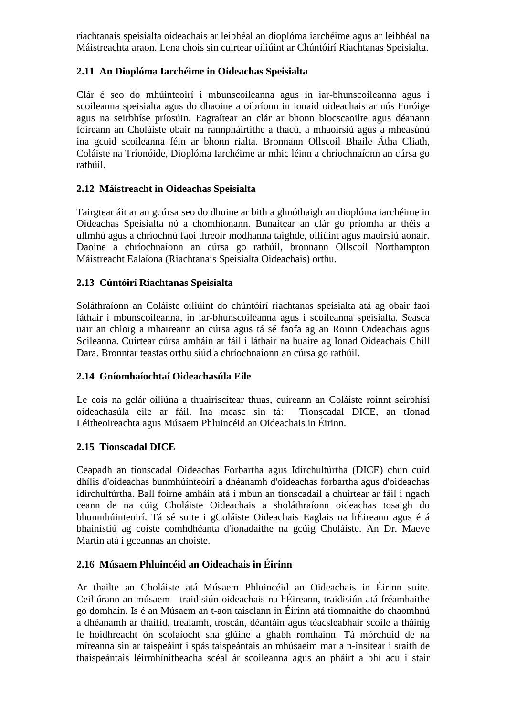riachtanais speisialta oideachais ar leibhéal an dioplóma iarchéime agus ar leibhéal na Máistreachta araon. Lena chois sin cuirtear oiliúint ar Chúntóirí Riachtanas Speisialta.

### **2.11 An Dioplóma Iarchéime in Oideachas Speisialta**

Clár é seo do mhúinteoirí i mbunscoileanna agus in iar-bhunscoileanna agus i scoileanna speisialta agus do dhaoine a oibríonn in ionaid oideachais ar nós Foróige agus na seirbhíse príosúin. Eagraítear an clár ar bhonn blocscaoilte agus déanann foireann an Choláiste obair na rannpháirtithe a thacú, a mhaoirsiú agus a mheasúnú ina gcuid scoileanna féin ar bhonn rialta. Bronnann Ollscoil Bhaile Átha Cliath, Coláiste na Tríonóide, Dioplóma Iarchéime ar mhic léinn a chríochnaíonn an cúrsa go rathúil.

# **2.12 Máistreacht in Oideachas Speisialta**

Tairgtear áit ar an gcúrsa seo do dhuine ar bith a ghnóthaigh an dioplóma iarchéime in Oideachas Speisialta nó a chomhionann. Bunaítear an clár go príomha ar théis a ullmhú agus a chríochnú faoi threoir modhanna taighde, oiliúint agus maoirsiú aonair. Daoine a chríochnaíonn an cúrsa go rathúil, bronnann Ollscoil Northampton Máistreacht Ealaíona (Riachtanais Speisialta Oideachais) orthu.

### **2.13 Cúntóirí Riachtanas Speisialta**

Soláthraíonn an Coláiste oiliúint do chúntóirí riachtanas speisialta atá ag obair faoi láthair i mbunscoileanna, in iar-bhunscoileanna agus i scoileanna speisialta. Seasca uair an chloig a mhaireann an cúrsa agus tá sé faofa ag an Roinn Oideachais agus Scileanna. Cuirtear cúrsa amháin ar fáil i láthair na huaire ag Ionad Oideachais Chill Dara. Bronntar teastas orthu siúd a chríochnaíonn an cúrsa go rathúil.

### **2.14 Gníomhaíochtaí Oideachasúla Eile**

Le cois na gclár oiliúna a thuairiscítear thuas, cuireann an Coláiste roinnt seirbhísí oideachasúla eile ar fáil. Ina measc sin tá: Tionscadal DICE, an tIonad Léitheoireachta agus Músaem Phluincéid an Oideachais in Éirinn.

### **2.15 Tionscadal DICE**

Ceapadh an tionscadal Oideachas Forbartha agus Idirchultúrtha (DICE) chun cuid dhílis d'oideachas bunmhúinteoirí a dhéanamh d'oideachas forbartha agus d'oideachas idirchultúrtha. Ball foirne amháin atá i mbun an tionscadail a chuirtear ar fáil i ngach ceann de na cúig Choláiste Oideachais a sholáthraíonn oideachas tosaigh do bhunmhúinteoirí. Tá sé suite i gColáiste Oideachais Eaglais na hÉireann agus é á bhainistiú ag coiste comhdhéanta d'ionadaithe na gcúig Choláiste. An Dr. Maeve Martin atá i gceannas an choiste.

### **2.16 Músaem Phluincéid an Oideachais in Éirinn**

Ar thailte an Choláiste atá Músaem Phluincéid an Oideachais in Éirinn suite. Ceiliúrann an músaem traidisiún oideachais na hÉireann, traidisiún atá fréamhaithe go domhain. Is é an Músaem an t-aon taisclann in Éirinn atá tiomnaithe do chaomhnú a dhéanamh ar thaifid, trealamh, troscán, déantáin agus téacsleabhair scoile a tháinig le hoidhreacht ón scolaíocht sna glúine a ghabh romhainn. Tá mórchuid de na míreanna sin ar taispeáint i spás taispeántais an mhúsaeim mar a n-insítear i sraith de thaispeántais léirmhínitheacha scéal ár scoileanna agus an pháirt a bhí acu i stair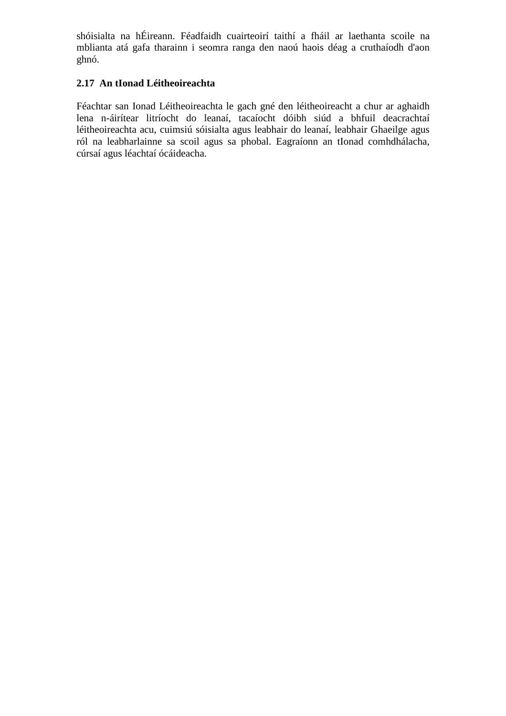shóisialta na hÉireann. Féadfaidh cuairteoirí taithí a fháil ar laethanta scoile na mblianta atá gafa tharainn i seomra ranga den naoú haois déag a cruthaíodh d'aon ghnó.

# **2.17 An tIonad Léitheoireachta**

Féachtar san Ionad Léitheoireachta le gach gné den léitheoireacht a chur ar aghaidh lena n-áirítear litríocht do leanaí, tacaíocht dóibh siúd a bhfuil deacrachtaí léitheoireachta acu, cuimsiú sóisialta agus leabhair do leanaí, leabhair Ghaeilge agus ról na leabharlainne sa scoil agus sa phobal. Eagraíonn an tIonad comhdhálacha, cúrsaí agus léachtaí ócáideacha.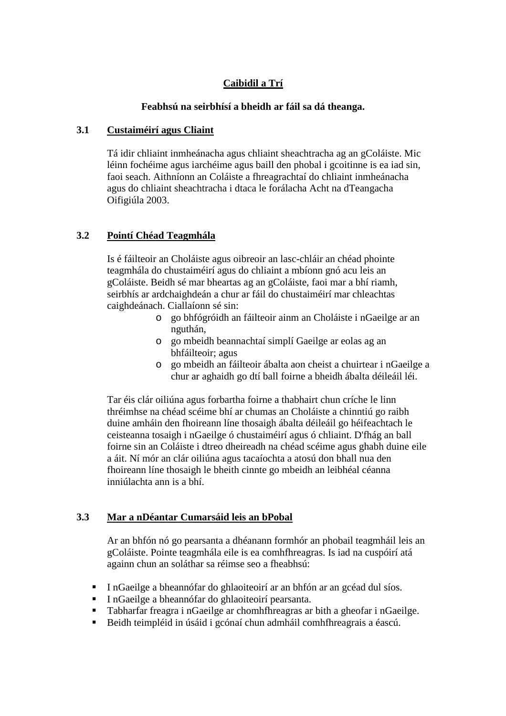# **Caibidil a Trí**

#### **Feabhsú na seirbhísí a bheidh ar fáil sa dá theanga.**

#### **3.1 Custaiméirí agus Cliaint**

Tá idir chliaint inmheánacha agus chliaint sheachtracha ag an gColáiste. Mic léinn fochéime agus iarchéime agus baill den phobal i gcoitinne is ea iad sin, faoi seach. Aithníonn an Coláiste a fhreagrachtaí do chliaint inmheánacha agus do chliaint sheachtracha i dtaca le forálacha Acht na dTeangacha Oifigiúla 2003.

### **3.2 Pointí Chéad Teagmhála**

Is é fáilteoir an Choláiste agus oibreoir an lasc-chláir an chéad phointe teagmhála do chustaiméirí agus do chliaint a mbíonn gnó acu leis an gColáiste. Beidh sé mar bheartas ag an gColáiste, faoi mar a bhí riamh, seirbhís ar ardchaighdeán a chur ar fáil do chustaiméirí mar chleachtas caighdeánach. Ciallaíonn sé sin:

- o go bhfógróidh an fáilteoir ainm an Choláiste i nGaeilge ar an nguthán,
- o go mbeidh beannachtaí simplí Gaeilge ar eolas ag an bhfáilteoir; agus
- o go mbeidh an fáilteoir ábalta aon cheist a chuirtear i nGaeilge a chur ar aghaidh go dtí ball foirne a bheidh ábalta déileáil léi.

Tar éis clár oiliúna agus forbartha foirne a thabhairt chun críche le linn thréimhse na chéad scéime bhí ar chumas an Choláiste a chinntiú go raibh duine amháin den fhoireann líne thosaigh ábalta déileáil go héifeachtach le ceisteanna tosaigh i nGaeilge ó chustaiméirí agus ó chliaint. D'fhág an ball foirne sin an Coláiste i dtreo dheireadh na chéad scéime agus ghabh duine eile a áit. Ní mór an clár oiliúna agus tacaíochta a atosú don bhall nua den fhoireann líne thosaigh le bheith cinnte go mbeidh an leibhéal céanna inniúlachta ann is a bhí.

### **3.3 Mar a nDéantar Cumarsáid leis an bPobal**

Ar an bhfón nó go pearsanta a dhéanann formhór an phobail teagmháil leis an gColáiste. Pointe teagmhála eile is ea comhfhreagras. Is iad na cuspóirí atá againn chun an soláthar sa réimse seo a fheabhsú:

- In Gaeilge a bheannófar do ghlaoiteoirí ar an bhfón ar an gcéad dul síos.
- I nGaeilge a bheannófar do ghlaoiteoirí pearsanta.
- Tabharfar freagra i nGaeilge ar chomhfhreagras ar bith a gheofar i nGaeilge.
- Beidh teimpléid in úsáid i gcónaí chun admháil comhfhreagrais a éascú.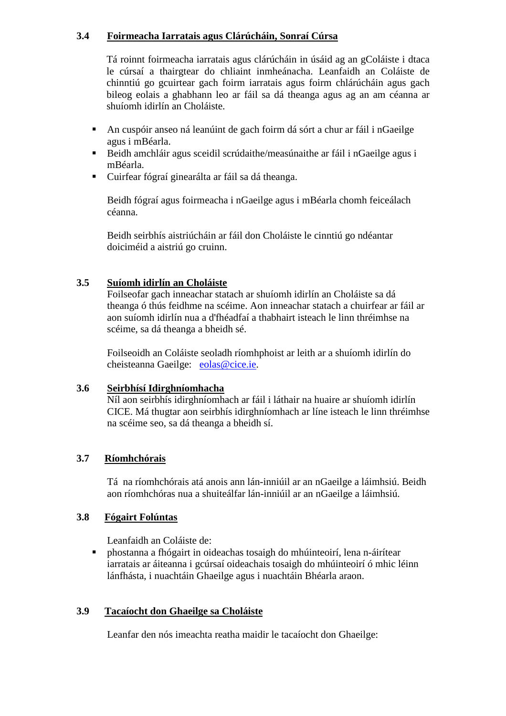### **3.4 Foirmeacha Iarratais agus Clárúcháin, Sonraí Cúrsa**

Tá roinnt foirmeacha iarratais agus clárúcháin in úsáid ag an gColáiste i dtaca le cúrsaí a thairgtear do chliaint inmheánacha. Leanfaidh an Coláiste de chinntiú go gcuirtear gach foirm iarratais agus foirm chlárúcháin agus gach bileog eolais a ghabhann leo ar fáil sa dá theanga agus ag an am céanna ar shuíomh idirlín an Choláiste.

- An cuspóir anseo ná leanúint de gach foirm dá sórt a chur ar fáil i nGaeilge agus i mBéarla.
- Beidh amchláir agus sceidil scrúdaithe/measúnaithe ar fáil i nGaeilge agus i mBéarla.
- Cuirfear fógraí ginearálta ar fáil sa dá theanga.

Beidh fógraí agus foirmeacha i nGaeilge agus i mBéarla chomh feiceálach céanna.

Beidh seirbhís aistriúcháin ar fáil don Choláiste le cinntiú go ndéantar doiciméid a aistriú go cruinn.

# **3.5 Suíomh idirlín an Choláiste**

Foilseofar gach inneachar statach ar shuíomh idirlín an Choláiste sa dá theanga ó thús feidhme na scéime. Aon inneachar statach a chuirfear ar fáil ar aon suíomh idirlín nua a d'fhéadfaí a thabhairt isteach le linn thréimhse na scéime, sa dá theanga a bheidh sé.

Foilseoidh an Coláiste seoladh ríomhphoist ar leith ar a shuíomh idirlín do cheisteanna Gaeilge: eolas@cice.ie.

### **3.6 Seirbhísí Idirghníomhacha**

Níl aon seirbhís idirghníomhach ar fáil i láthair na huaire ar shuíomh idirlín CICE. Má thugtar aon seirbhís idirghníomhach ar líne isteach le linn thréimhse na scéime seo, sa dá theanga a bheidh sí.

# **3.7 Ríomhchórais**

Tá na ríomhchórais atá anois ann lán-inniúil ar an nGaeilge a láimhsiú. Beidh aon ríomhchóras nua a shuiteálfar lán-inniúil ar an nGaeilge a láimhsiú.

### **3.8 Fógairt Folúntas**

Leanfaidh an Coláiste de:

 phostanna a fhógairt in oideachas tosaigh do mhúinteoirí, lena n-áirítear iarratais ar áiteanna i gcúrsaí oideachais tosaigh do mhúinteoirí ó mhic léinn lánfhásta, i nuachtáin Ghaeilge agus i nuachtáin Bhéarla araon.

### **3.9 Tacaíocht don Ghaeilge sa Choláiste**

Leanfar den nós imeachta reatha maidir le tacaíocht don Ghaeilge: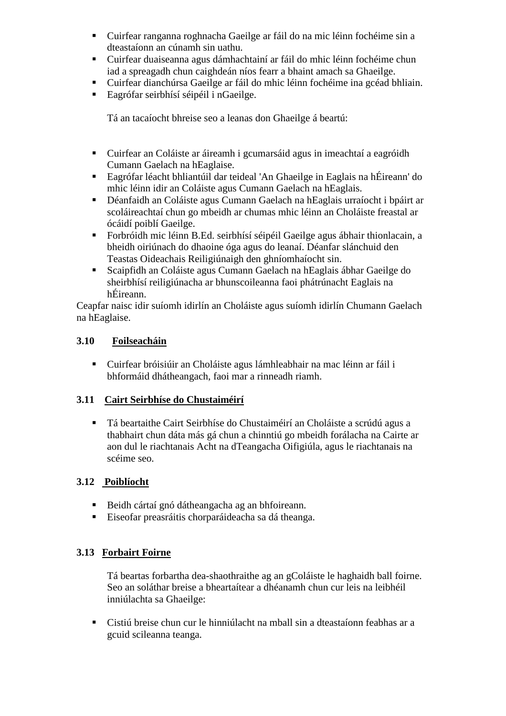- Cuirfear ranganna roghnacha Gaeilge ar fáil do na mic léinn fochéime sin a dteastaíonn an cúnamh sin uathu.
- Cuirfear duaiseanna agus dámhachtainí ar fáil do mhic léinn fochéime chun iad a spreagadh chun caighdeán níos fearr a bhaint amach sa Ghaeilge.
- Cuirfear dianchúrsa Gaeilge ar fáil do mhic léinn fochéime ina gcéad bhliain.
- Eagrófar seirbhísí séipéil i nGaeilge.

Tá an tacaíocht bhreise seo a leanas don Ghaeilge á beartú:

- Cuirfear an Coláiste ar áireamh i gcumarsáid agus in imeachtaí a eagróidh Cumann Gaelach na hEaglaise.
- Eagrófar léacht bhliantúil dar teideal 'An Ghaeilge in Eaglais na hÉireann' do mhic léinn idir an Coláiste agus Cumann Gaelach na hEaglais.
- Déanfaidh an Coláiste agus Cumann Gaelach na hEaglais urraíocht i bpáirt ar scoláireachtaí chun go mbeidh ar chumas mhic léinn an Choláiste freastal ar ócáidí poiblí Gaeilge.
- Forbróidh mic léinn B.Ed. seirbhísí séipéil Gaeilge agus ábhair thionlacain, a bheidh oiriúnach do dhaoine óga agus do leanaí. Déanfar slánchuid den Teastas Oideachais Reiligiúnaigh den ghníomhaíocht sin.
- Scaipfidh an Coláiste agus Cumann Gaelach na hEaglais ábhar Gaeilge do sheirbhísí reiligiúnacha ar bhunscoileanna faoi phátrúnacht Eaglais na hÉireann.

Ceapfar naisc idir suíomh idirlín an Choláiste agus suíomh idirlín Chumann Gaelach na hEaglaise.

### **3.10 Foilseacháin**

 Cuirfear bróisiúir an Choláiste agus lámhleabhair na mac léinn ar fáil i bhformáid dhátheangach, faoi mar a rinneadh riamh.

### **3.11 Cairt Seirbhíse do Chustaiméirí**

 Tá beartaithe Cairt Seirbhíse do Chustaiméirí an Choláiste a scrúdú agus a thabhairt chun dáta más gá chun a chinntiú go mbeidh forálacha na Cairte ar aon dul le riachtanais Acht na dTeangacha Oifigiúla, agus le riachtanais na scéime seo.

### **3.12 Poiblíocht**

- Beidh cártaí gnó dátheangacha ag an bhfoireann.
- Eiseofar preasráitis chorparáideacha sa dá theanga.

### **3.13 Forbairt Foirne**

Tá beartas forbartha dea-shaothraithe ag an gColáiste le haghaidh ball foirne. Seo an soláthar breise a bheartaítear a dhéanamh chun cur leis na leibhéil inniúlachta sa Ghaeilge:

 Cistiú breise chun cur le hinniúlacht na mball sin a dteastaíonn feabhas ar a gcuid scileanna teanga.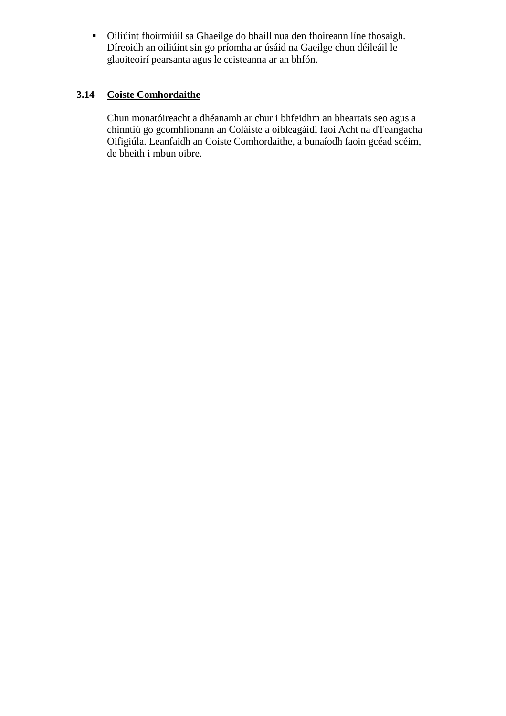Oiliúint fhoirmiúil sa Ghaeilge do bhaill nua den fhoireann líne thosaigh. Díreoidh an oiliúint sin go príomha ar úsáid na Gaeilge chun déileáil le glaoiteoirí pearsanta agus le ceisteanna ar an bhfón.

# **3.14 Coiste Comhordaithe**

Chun monatóireacht a dhéanamh ar chur i bhfeidhm an bheartais seo agus a chinntiú go gcomhlíonann an Coláiste a oibleagáidí faoi Acht na dTeangacha Oifigiúla. Leanfaidh an Coiste Comhordaithe, a bunaíodh faoin gcéad scéim, de bheith i mbun oibre.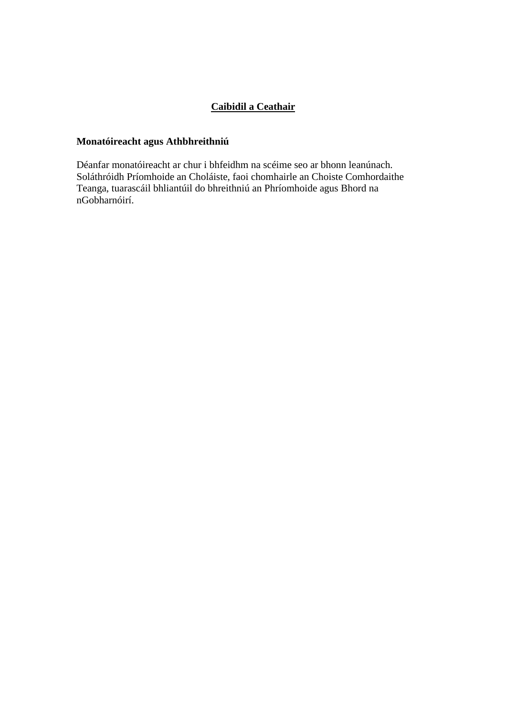# **Caibidil a Ceathair**

# **Monatóireacht agus Athbhreithniú**

Déanfar monatóireacht ar chur i bhfeidhm na scéime seo ar bhonn leanúnach. Soláthróidh Príomhoide an Choláiste, faoi chomhairle an Choiste Comhordaithe Teanga, tuarascáil bhliantúil do bhreithniú an Phríomhoide agus Bhord na nGobharnóirí.